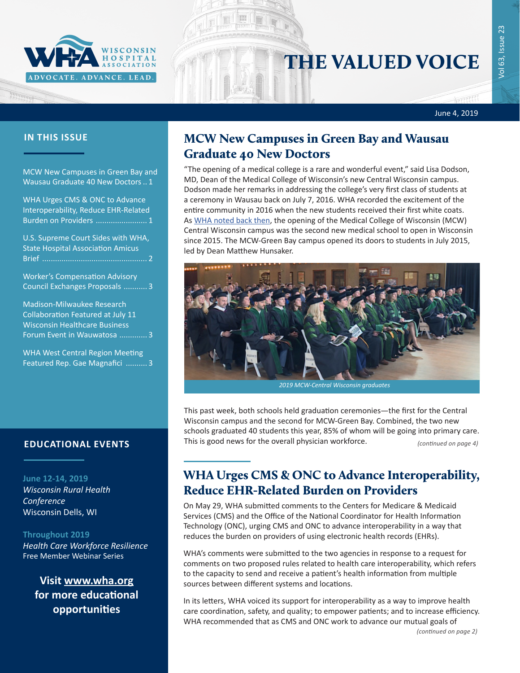

# THE VALUED VOICE

June 4, 2019

MCW New Campuses in Green Bay and Wausau Graduate 40 New Doctors.. 1

WHA Urges CMS & ONC to Advance Interoperability, Reduce EHR-Related Burden on Providers ........................ 1

[U.S. Supreme Court Sides with WHA,](#page-1-0)  [State Hospital Association Amicus](#page-1-0)  [Brief .................................................](#page-1-0) 2

[Worker's Compensation Advisory](#page-2-0)  [Council Exchanges Proposals ...........](#page-2-0) 3

[Madison-Milwaukee Research](#page-2-0)  [Collaboration Featured at July 11](#page-2-0)  [Wisconsin Healthcare Business](#page-2-0)  [Forum Event in Wauwatosa](#page-2-0) ............. 3

[WHA West Central Region Meeting](#page-2-0)  [Featured Rep. Gae Magnafici](#page-2-0) .......... 3

**June 12-14, 2019** *[Wisconsin Rural Health](http://www.cvent.com/d/b6q37j)  [Conference](http://www.cvent.com/d/b6q37j)* Wisconsin Dells, WI

### **Throughout 2019**

*[Health Care Workforce Resilience](http://www.whareg4.org/WorkforceResilience/)* Free Member Webinar Series

**Visit [www.wha.org](https://www.wha.org) for more educational opportunities**

## **IN THIS ISSUE MCW New Campuses in Green Bay and Wausau** Graduate 40 New Doctors

"The opening of a medical college is a rare and wonderful event," said Lisa Dodson, MD, Dean of the Medical College of Wisconsin's new Central Wisconsin campus. Dodson made her remarks in addressing the college's very first class of students at a ceremony in Wausau back on July 7, 2016. WHA recorded the excitement of the entire community in 2016 when the new students received their first white coats. As [WHA noted back then](https://www.wha.org/MediaRoom/WHANewsletter/2016/07-08-2016#4), the opening of the Medical College of Wisconsin (MCW) Central Wisconsin campus was the second new medical school to open in Wisconsin since 2015. The MCW-Green Bay campus opened its doors to students in July 2015, led by Dean Matthew Hunsaker.



*2019 MCW-Central Wisconsin graduates*

This past week, both schools held graduation ceremonies—the first for the Central Wisconsin campus and the second for MCW-Green Bay. Combined, the two new schools graduated 40 students this year, 85% of whom will be going into primary care. **EDUCATIONAL EVENTS** This is good news for the overall physician workforce. *(continued on page 4)* **E** 

## WHA Urges CMS & ONC to Advance Interoperability, Reduce EHR-Related Burden on Providers

On May 29, WHA submitted comments to the Centers for Medicare & Medicaid Services (CMS) and the Office of the National Coordinator for Health Information Technology (ONC), urging CMS and ONC to advance interoperability in a way that reduces the burden on providers of using electronic health records (EHRs).

WHA's comments were submitted to the two agencies in response to a request for comments on two proposed rules related to health care interoperability, which refers to the capacity to send and receive a patient's health information from multiple sources between different systems and locations.

In its letters, WHA voiced its support for interoperability as a way to improve health care coordination, safety, and quality; to empower patients; and to increase efficiency. WHA recommended that as CMS and ONC work to advance our mutual goals of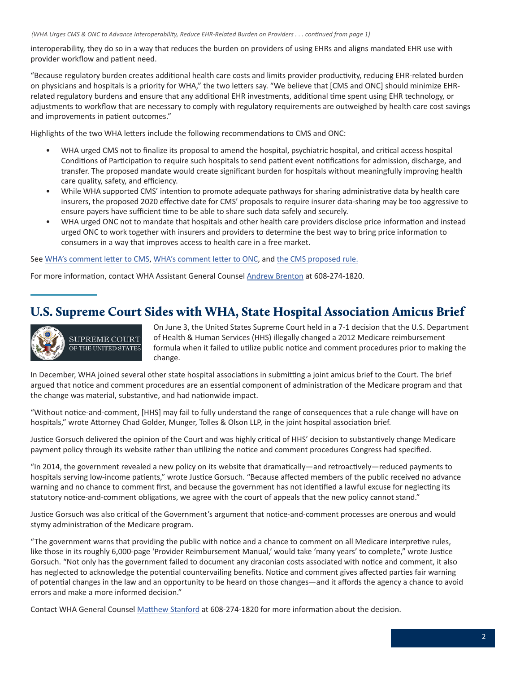<span id="page-1-0"></span>interoperability, they do so in a way that reduces the burden on providers of using EHRs and aligns mandated EHR use with provider workflow and patient need.

"Because regulatory burden creates additional health care costs and limits provider productivity, reducing EHR-related burden on physicians and hospitals is a priority for WHA," the two letters say. "We believe that [CMS and ONC] should minimize EHRrelated regulatory burdens and ensure that any additional EHR investments, additional time spent using EHR technology, or adjustments to workflow that are necessary to comply with regulatory requirements are outweighed by health care cost savings and improvements in patient outcomes."

Highlights of the two WHA letters include the following recommendations to CMS and ONC:

- WHA urged CMS not to finalize its proposal to amend the hospital, psychiatric hospital, and critical access hospital Conditions of Participation to require such hospitals to send patient event notifications for admission, discharge, and transfer. The proposed mandate would create significant burden for hospitals without meaningfully improving health care quality, safety, and efficiency.
- While WHA supported CMS' intention to promote adequate pathways for sharing administrative data by health care insurers, the proposed 2020 effective date for CMS' proposals to require insurer data-sharing may be too aggressive to ensure payers have sufficient time to be able to share such data safely and securely.
- WHA urged ONC not to mandate that hospitals and other health care providers disclose price information and instead urged ONC to work together with insurers and providers to determine the best way to bring price information to consumers in a way that improves access to health care in a free market.

### See [WHA's comment letter to CMS](https://www.wha.org/WisconsinHospitalAssociation/media/WHACommon/CommentLetters/2019-Comments-on-CMS-Proposed-Interoperability-Rule6-3.pdf), [WHA's comment letter to ONC](https://www.wha.org/WisconsinHospitalAssociation/media/WHACommon/CommentLetters/2019-Comments-on-ONC-Proposed-Interoperability-Rule6-3.pdf), and [the CMS proposed rule](https://www.govinfo.gov/content/pkg/FR-2019-03-04/pdf/2019-02200.pdf).

For more information, contact WHA Assistant General Counsel [Andrew Brenton](mailto:abrenton@wha.org) at 608-274-1820.

## U.S. Supreme Court Sides with WHA, State Hospital Association Amicus Brief



On June 3, the United States Supreme Court held in a 7-1 decision that the U.S. Department of Health & Human Services (HHS) illegally changed a 2012 Medicare reimbursement formula when it failed to utilize public notice and comment procedures prior to making the change.

In December, WHA joined several other state hospital associations in submitting a joint amicus brief to the Court. The brief argued that notice and comment procedures are an essential component of administration of the Medicare program and that the change was material, substantive, and had nationwide impact.

"Without notice-and-comment, [HHS] may fail to fully understand the range of consequences that a rule change will have on hospitals," wrote Attorney Chad Golder, Munger, Tolles & Olson LLP, in the joint hospital association brief.

Justice Gorsuch delivered the opinion of the Court and was highly critical of HHS' decision to substantively change Medicare payment policy through its website rather than utilizing the notice and comment procedures Congress had specified.

"In 2014, the government revealed a new policy on its website that dramatically—and retroactively—reduced payments to hospitals serving low-income patients," wrote Justice Gorsuch. "Because affected members of the public received no advance warning and no chance to comment first, and because the government has not identified a lawful excuse for neglecting its statutory notice-and-comment obligations, we agree with the court of appeals that the new policy cannot stand."

Justice Gorsuch was also critical of the Government's argument that notice-and-comment processes are onerous and would stymy administration of the Medicare program.

"The government warns that providing the public with notice and a chance to comment on all Medicare interpretive rules, like those in its roughly 6,000-page 'Provider Reimbursement Manual,' would take 'many years' to complete," wrote Justice Gorsuch. "Not only has the government failed to document any draconian costs associated with notice and comment, it also has neglected to acknowledge the potential countervailing benefits. Notice and comment gives affected parties fair warning of potential changes in the law and an opportunity to be heard on those changes—and it affords the agency a chance to avoid errors and make a more informed decision."

Contact WHA General Counsel [Matthew Stanford](mailto:mstanford@wha.org) at 608-274-1820 for more information about the decision.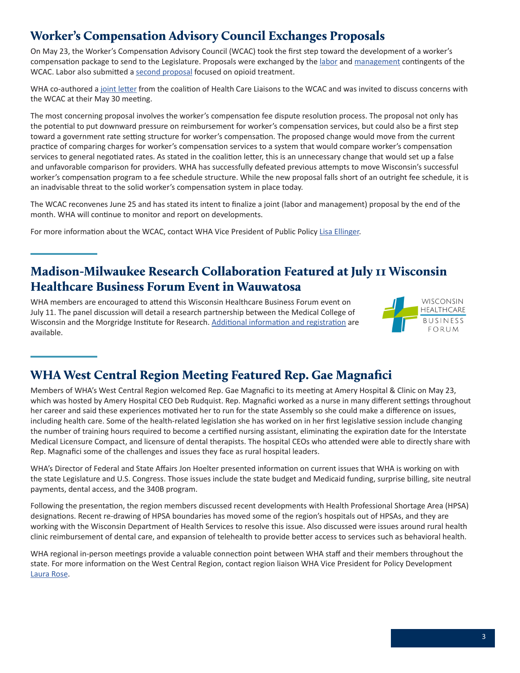## <span id="page-2-0"></span>Worker's Compensation Advisory Council Exchanges Proposals

On May 23, the Worker's Compensation Advisory Council (WCAC) took the first step toward the development of a worker's compensation package to send to the Legislature. Proposals were exchanged by the [labor](https://dwd.wisconsin.gov/wc/councils/wcac/pdf/WCACLaborProposals5-23-2019.pdf) and [management](https://dwd.wisconsin.gov/wc/councils/wcac/pdf/WCACManagement5-23-2019.pdf) contingents of the WCAC. Labor also submitted a [second proposal](https://dwd.wisconsin.gov/wc/councils/wcac/pdf/WCACLaborProposalsOpioids5-23-2019.pdf) focused on opioid treatment.

WHA co-authored a [joint letter](https://www.wha.org/WisconsinHospitalAssociation/media/WHACommon/CommentLetters/2019Letter-WCAC-liaisons-5-29.pdf) from the coalition of Health Care Liaisons to the WCAC and was invited to discuss concerns with the WCAC at their May 30 meeting.

The most concerning proposal involves the worker's compensation fee dispute resolution process. The proposal not only has the potential to put downward pressure on reimbursement for worker's compensation services, but could also be a first step toward a government rate setting structure for worker's compensation. The proposed change would move from the current practice of comparing charges for worker's compensation services to a system that would compare worker's compensation services to general negotiated rates. As stated in the coalition letter, this is an unnecessary change that would set up a false and unfavorable comparison for providers. WHA has successfully defeated previous attempts to move Wisconsin's successful worker's compensation program to a fee schedule structure. While the new proposal falls short of an outright fee schedule, it is an inadvisable threat to the solid worker's compensation system in place today.

The WCAC reconvenes June 25 and has stated its intent to finalize a joint (labor and management) proposal by the end of the month. WHA will continue to monitor and report on developments.

For more information about the WCAC, contact WHA Vice President of Public Policy [Lisa Ellinger.](mailto:lellinger@wha.org)

## Madison-Milwaukee Research Collaboration Featured at July 11 Wisconsin Healthcare Business Forum Event in Wauwatosa

WHA members are encouraged to attend this Wisconsin Healthcare Business Forum event on July 11. The panel discussion will detail a research partnership between the Medical College of Wisconsin and the Morgridge Institute for Research. [Additional information and registration](https://wishealthbizforum.com/event/tech-council-innovation-network-milwaukee-luncheon/) are available.



## WHA West Central Region Meeting Featured Rep. Gae Magnafici

Members of WHA's West Central Region welcomed Rep. Gae Magnafici to its meeting at Amery Hospital & Clinic on May 23, which was hosted by Amery Hospital CEO Deb Rudquist. Rep. Magnafici worked as a nurse in many different settings throughout her career and said these experiences motivated her to run for the state Assembly so she could make a difference on issues, including health care. Some of the health-related legislation she has worked on in her first legislative session include changing the number of training hours required to become a certified nursing assistant, eliminating the expiration date for the Interstate Medical Licensure Compact, and licensure of dental therapists. The hospital CEOs who attended were able to directly share with Rep. Magnafici some of the challenges and issues they face as rural hospital leaders.

WHA's Director of Federal and State Affairs Jon Hoelter presented information on current issues that WHA is working on with the state Legislature and U.S. Congress. Those issues include the state budget and Medicaid funding, surprise billing, site neutral payments, dental access, and the 340B program.

Following the presentation, the region members discussed recent developments with Health Professional Shortage Area (HPSA) designations. Recent re-drawing of HPSA boundaries has moved some of the region's hospitals out of HPSAs, and they are working with the Wisconsin Department of Health Services to resolve this issue. Also discussed were issues around rural health clinic reimbursement of dental care, and expansion of telehealth to provide better access to services such as behavioral health.

WHA regional in-person meetings provide a valuable connection point between WHA staff and their members throughout the state. For more information on the West Central Region, contact region liaison WHA Vice President for Policy Development [Laura Rose.](mailto:lrose@wha.org)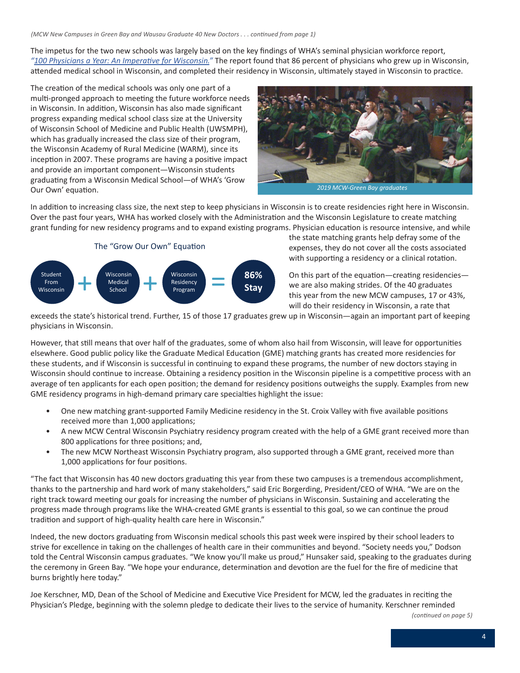*(MCW New Campuses in Green Bay and Wausau Graduate 40 New Doctors . . . continued from page 1)*

The impetus for the two new schools was largely based on the key findings of WHA's seminal physician workforce report, *"[100 Physicians a Year: An Imperative for Wisconsin.](https://www.wha.org/WisconsinHospitalAssociation/media/WHA-Reports/2011physicianreport.pdf)"* The report found that 86 percent of physicians who grew up in Wisconsin, attended medical school in Wisconsin, and completed their residency in Wisconsin, ultimately stayed in Wisconsin to practice.

The creation of the medical schools was only one part of a multi-pronged approach to meeting the future workforce needs in Wisconsin. In addition, Wisconsin has also made significant progress expanding medical school class size at the University of Wisconsin School of Medicine and Public Health (UWSMPH), which has gradually increased the class size of their program, the Wisconsin Academy of Rural Medicine (WARM), since its inception in 2007. These programs are having a positive impact and provide an important component—Wisconsin students graduating from a Wisconsin Medical School—of WHA's 'Grow Our Own' equation.



*2019 MCW-Green Bay graduates*

In addition to increasing class size, the next step to keep physicians in Wisconsin is to create residencies right here in Wisconsin. Over the past four years, WHA has worked closely with the Administration and the Wisconsin Legislature to create matching grant funding for new residency programs and to expand existing programs. Physician education is resource intensive, and while



the state matching grants help defray some of the expenses, they do not cover all the costs associated with supporting a residency or a clinical rotation.

On this part of the equation—creating residencies we are also making strides. Of the 40 graduates this year from the new MCW campuses, 17 or 43%, will do their residency in Wisconsin, a rate that

exceeds the state's historical trend. Further, 15 of those 17 graduates grew up in Wisconsin—again an important part of keeping physicians in Wisconsin.

However, that still means that over half of the graduates, some of whom also hail from Wisconsin, will leave for opportunities elsewhere. Good public policy like the Graduate Medical Education (GME) matching grants has created more residencies for these students, and if Wisconsin is successful in continuing to expand these programs, the number of new doctors staying in Wisconsin should continue to increase. Obtaining a residency position in the Wisconsin pipeline is a competitive process with an average of ten applicants for each open position; the demand for residency positions outweighs the supply. Examples from new GME residency programs in high-demand primary care specialties highlight the issue:

- One new matching grant-supported Family Medicine residency in the St. Croix Valley with five available positions received more than 1,000 applications;
- A new MCW Central Wisconsin Psychiatry residency program created with the help of a GME grant received more than 800 applications for three positions; and,
- The new MCW Northeast Wisconsin Psychiatry program, also supported through a GME grant, received more than 1,000 applications for four positions.

"The fact that Wisconsin has 40 new doctors graduating this year from these two campuses is a tremendous accomplishment, thanks to the partnership and hard work of many stakeholders," said Eric Borgerding, President/CEO of WHA. "We are on the right track toward meeting our goals for increasing the number of physicians in Wisconsin. Sustaining and accelerating the progress made through programs like the WHA-created GME grants is essential to this goal, so we can continue the proud tradition and support of high-quality health care here in Wisconsin."

Indeed, the new doctors graduating from Wisconsin medical schools this past week were inspired by their school leaders to strive for excellence in taking on the challenges of health care in their communities and beyond. "Society needs you," Dodson told the Central Wisconsin campus graduates. "We know you'll make us proud," Hunsaker said, speaking to the graduates during the ceremony in Green Bay. "We hope your endurance, determination and devotion are the fuel for the fire of medicine that burns brightly here today."

Joe Kerschner, MD, Dean of the School of Medicine and Executive Vice President for MCW, led the graduates in reciting the Physician's Pledge, beginning with the solemn pledge to dedicate their lives to the service of humanity. Kerschner reminded

*(continued on page 5)*